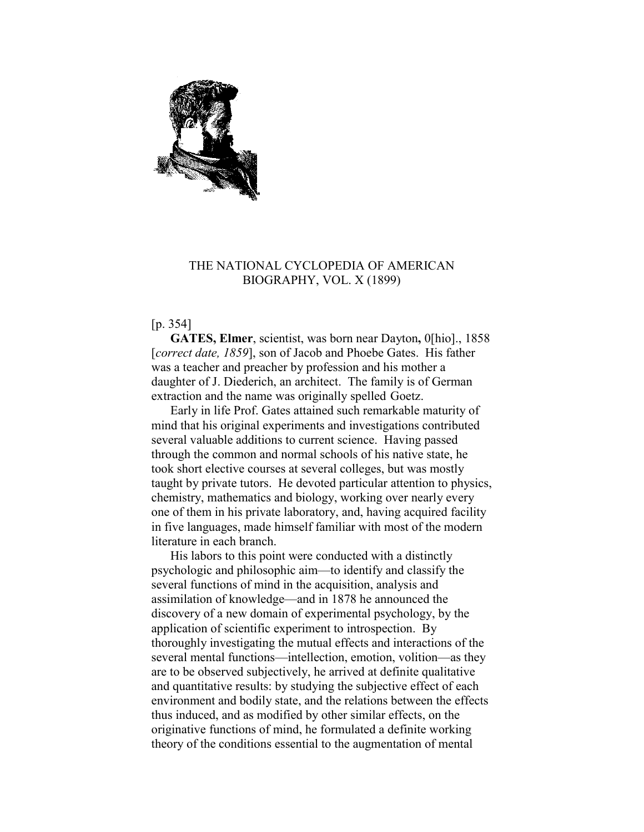

## THE NATIONAL CYCLOPEDIA OF AMERICAN BIOGRAPHY, VOL. X (1899)

[p. 354]

**GATES, Elmer**, scientist, was born near Dayton**,** 0[hio]., 1858 [*correct date, 1859*], son of Jacob and Phoebe Gates. His father was a teacher and preacher by profession and his mother a daughter of J. Diederich, an architect. The family is of German extraction and the name was originally spelled Goetz.

Early in life Prof. Gates attained such remarkable maturity of mind that his original experiments and investigations contributed several valuable additions to current science. Having passed through the common and normal schools of his native state, he took short elective courses at several colleges, but was mostly taught by private tutors. He devoted particular attention to physics, chemistry, mathematics and biology, working over nearly every one of them in his private laboratory, and, having acquired facility in five languages, made himself familiar with most of the modern literature in each branch.

His labors to this point were conducted with a distinctly psychologic and philosophic aim—to identify and classify the several functions of mind in the acquisition, analysis and assimilation of knowledge—and in 1878 he announced the discovery of a new domain of experimental psychology, by the application of scientific experiment to introspection. By thoroughly investigating the mutual effects and interactions of the several mental functions—intellection, emotion, volition—as they are to be observed subjectively, he arrived at definite qualitative and quantitative results: by studying the subjective effect of each environment and bodily state, and the relations between the effects thus induced, and as modified by other similar effects, on the originative functions of mind, he formulated a definite working theory of the conditions essential to the augmentation of mental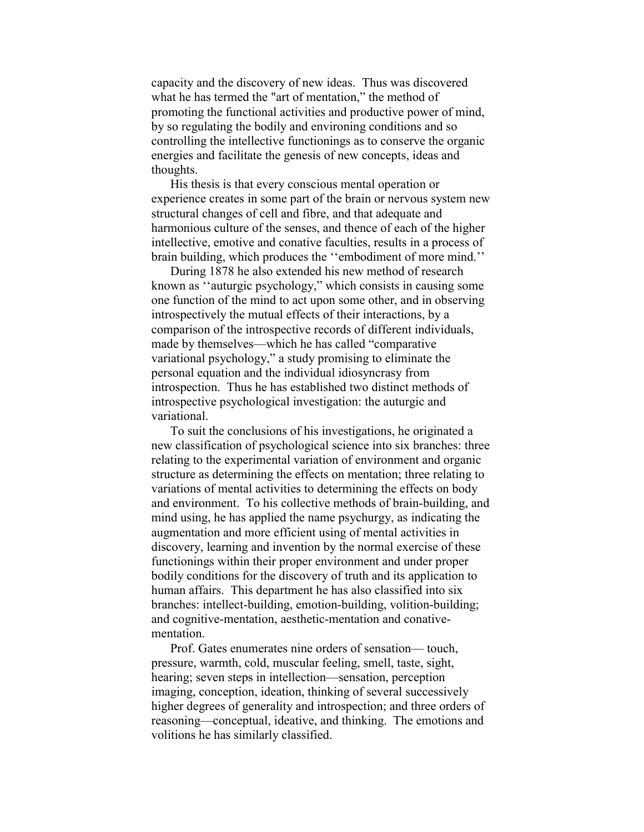capacity and the discovery of new ideas. Thus was discovered what he has termed the "art of mentation," the method of promoting the functional activities and productive power of mind, by so regulating the bodily and environing conditions and so controlling the intellective functionings as to conserve the organic energies and facilitate the genesis of new concepts, ideas and thoughts.

His thesis is that every conscious mental operation or experience creates in some part of the brain or nervous system new structural changes of cell and fibre, and that adequate and harmonious culture of the senses, and thence of each of the higher intellective, emotive and conative faculties, results in a process of brain building, which produces the ''embodiment of more mind.''

During 1878 he also extended his new method of research known as ''auturgic psychology," which consists in causing some one function of the mind to act upon some other, and in observing introspectively the mutual effects of their interactions, by a comparison of the introspective records of different individuals, made by themselves—which he has called "comparative variational psychology," a study promising to eliminate the personal equation and the individual idiosyncrasy from introspection. Thus he has established two distinct methods of introspective psychological investigation: the auturgic and variational.

To suit the conclusions of his investigations, he originated a new classification of psychological science into six branches: three relating to the experimental variation of environment and organic structure as determining the effects on mentation; three relating to variations of mental activities to determining the effects on body and environment. To his collective methods of brain-building, and mind using, he has applied the name psychurgy, as indicating the augmentation and more efficient using of mental activities in discovery, learning and invention by the normal exercise of these functionings within their proper environment and under proper bodily conditions for the discovery of truth and its application to human affairs. This department he has also classified into six branches: intellect-building, emotion-building, volition-building; and cognitive-mentation, aesthetic-mentation and conativementation.

Prof. Gates enumerates nine orders of sensation— touch, pressure, warmth, cold, muscular feeling, smell, taste, sight, hearing; seven steps in intellection—sensation, perception imaging, conception, ideation, thinking of several successively higher degrees of generality and introspection; and three orders of reasoning—conceptual, ideative, and thinking. The emotions and volitions he has similarly classified.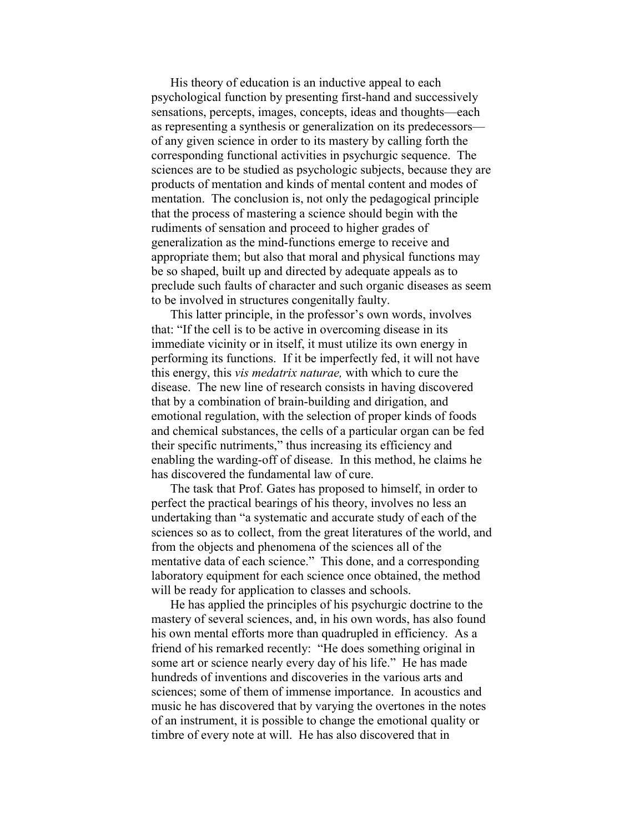His theory of education is an inductive appeal to each psychological function by presenting first-hand and successively sensations, percepts, images, concepts, ideas and thoughts—each as representing a synthesis or generalization on its predecessors of any given science in order to its mastery by calling forth the corresponding functional activities in psychurgic sequence. The sciences are to be studied as psychologic subjects, because they are products of mentation and kinds of mental content and modes of mentation. The conclusion is, not only the pedagogical principle that the process of mastering a science should begin with the rudiments of sensation and proceed to higher grades of generalization as the mind-functions emerge to receive and appropriate them; but also that moral and physical functions may be so shaped, built up and directed by adequate appeals as to preclude such faults of character and such organic diseases as seem to be involved in structures congenitally faulty.

This latter principle, in the professor's own words, involves that: "If the cell is to be active in overcoming disease in its immediate vicinity or in itself, it must utilize its own energy in performing its functions. If it be imperfectly fed, it will not have this energy, this *vis medatrix naturae,* with which to cure the disease. The new line of research consists in having discovered that by a combination of brain-building and dirigation, and emotional regulation, with the selection of proper kinds of foods and chemical substances, the cells of a particular organ can be fed their specific nutriments," thus increasing its efficiency and enabling the warding-off of disease. In this method, he claims he has discovered the fundamental law of cure.

The task that Prof. Gates has proposed to himself, in order to perfect the practical bearings of his theory, involves no less an undertaking than "a systematic and accurate study of each of the sciences so as to collect, from the great literatures of the world, and from the objects and phenomena of the sciences all of the mentative data of each science." This done, and a corresponding laboratory equipment for each science once obtained, the method will be ready for application to classes and schools.

He has applied the principles of his psychurgic doctrine to the mastery of several sciences, and, in his own words, has also found his own mental efforts more than quadrupled in efficiency. As a friend of his remarked recently: "He does something original in some art or science nearly every day of his life." He has made hundreds of inventions and discoveries in the various arts and sciences; some of them of immense importance. In acoustics and music he has discovered that by varying the overtones in the notes of an instrument, it is possible to change the emotional quality or timbre of every note at will. He has also discovered that in